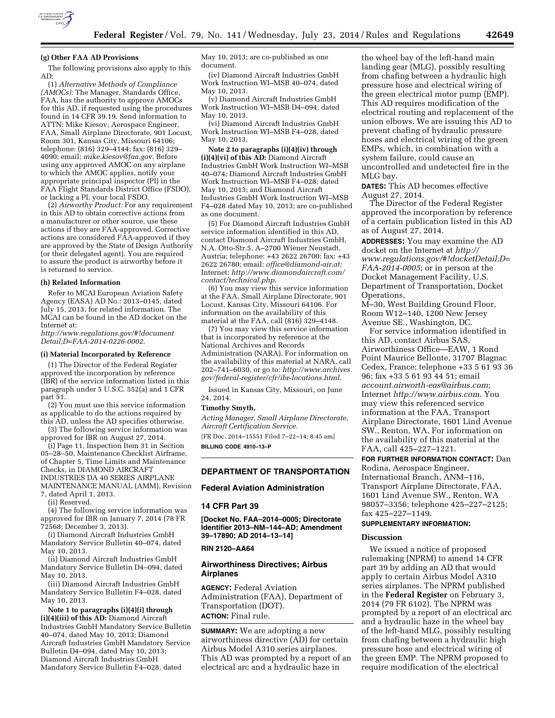

#### **(g) Other FAA AD Provisions**

The following provisions also apply to this AD:

(1) *Alternative Methods of Compliance (AMOCs):* The Manager, Standards Office, FAA, has the authority to approve AMOCs for this AD, if requested using the procedures found in 14 CFR 39.19. Send information to ATTN: Mike Kiesov, Aerospace Engineer, FAA, Small Airplane Directorate, 901 Locust, Room 301, Kansas City, Missouri 64106; telephone: (816) 329–4144; fax: (816) 329– 4090; email: *[mike.kiesov@faa.gov](mailto:mike.kiesov@faa.gov)*. Before using any approved AMOC on any airplane to which the AMOC applies, notify your appropriate principal inspector (PI) in the FAA Flight Standards District Office (FSDO), or lacking a PI, your local FSDO.

(2) *Airworthy Product:* For any requirement in this AD to obtain corrective actions from a manufacturer or other source, use these actions if they are FAA-approved. Corrective actions are considered FAA-approved if they are approved by the State of Design Authority (or their delegated agent). You are required to assure the product is airworthy before it is returned to service.

### **(h) Related Information**

Refer to MCAI European Aviation Safety Agency (EASA) AD No.: 2013–0145, dated July 15, 2013, for related information. The MCAI can be found in the AD docket on the Internet at:

*[http://www.regulations.gov/#!document](http://www.regulations.gov/#!documentDetail;D=FAA-2014-0226-0002) [Detail;D=FAA-2014-0226-0002](http://www.regulations.gov/#!documentDetail;D=FAA-2014-0226-0002)*.

#### **(i) Material Incorporated by Reference**

(1) The Director of the Federal Register approved the incorporation by reference (IBR) of the service information listed in this paragraph under 5 U.S.C. 552(a) and 1 CFR part 51.

(2) You must use this service information as applicable to do the actions required by this AD, unless the AD specifies otherwise.

(3) The following service information was approved for IBR on August 27, 2014.

(i) Page 11, Inspection Item 31 in Section 05–28–50, Maintenance Checklist Airframe, of Chapter 5, Time Limits and Maintenance Checks, in DIAMOND AIRCRAFT INDUSTRIES DA 40 SERIES AIRPLANE MAINTENANCE MANUAL (AMM), Revision 7, dated April 1, 2013.

(ii) Reserved.

(4) The following service information was approved for IBR on January 7, 2014 (78 FR 72568; December 3, 2013).

(i) Diamond Aircraft Industries GmbH Mandatory Service Bulletin 40–074, dated May 10, 2013.

(ii) Diamond Aircraft Industries GmbH Mandatory Service Bulletin D4–094, dated May 10, 2013.

(iii) Diamond Aircraft Industries GmbH Mandatory Service Bulletin F4–028, dated May 10, 2013.

**Note 1 to paragraphs (i)(4)(i) through (i)(4)(iii) of this AD:** Diamond Aircraft Industries GmbH Mandatory Service Bulletin 40–074, dated May 10, 2013; Diamond Aircraft Industries GmbH Mandatory Service Bulletin D4–094, dated May 10, 2013; Diamond Aircraft Industries GmbH Mandatory Service Bulletin F4–028, dated

May 10, 2013; are co-published as one document.

(iv) Diamond Aircraft Industries GmbH Work Instruction WI–MSB 40–074, dated May 10, 2013.

(v) Diamond Aircraft Industries GmbH Work Instruction WI–MSB D4–094, dated May 10, 2013.

(vi) Diamond Aircraft Industries GmbH Work Instruction WI–MSB F4–028, dated May 10, 2013.

**Note 2 to paragraphs (i)(4)(iv) through (i)(4)(vi) of this AD:** Diamond Aircraft Industries GmbH Work Instruction WI–MSB 40–074; Diamond Aircraft Industries GmbH Work Instruction WI–MSB F4–028; dated May 10, 2013; and Diamond Aircraft Industries GmbH Work Instruction WI–MSB F4–028 dated May 10, 2013; are co-published as one document.

(5) For Diamond Aircraft Industries GmbH service information identified in this AD, contact Diamond Aircraft Industries GmbH, N.A. Otto-Str.5, A–2700 Wiener Neustadt, Austria; telephone: +43 2622 26700; fax: +43 2622 26780; email: *[office@diamond-air.at;](mailto:office@diamond-air.at)*  Internet: *[http://www.diamondaircraft.com/](http://www.diamondaircraft.com/contact/technical.php) [contact/technical.php](http://www.diamondaircraft.com/contact/technical.php)*.

(6) You may view this service information at the FAA, Small Airplane Directorate, 901 Locust, Kansas City, Missouri 64106. For information on the availability of this material at the FAA, call (816) 329–4148.

(7) You may view this service information that is incorporated by reference at the National Archives and Records Administration (NARA). For information on the availability of this material at NARA, call 202–741–6030, or go to: *[http://www.archives.](http://www.archives.gov/federal-register/cfr/ibr-locations.html) [gov/federal-register/cfr/ibr-locations.html](http://www.archives.gov/federal-register/cfr/ibr-locations.html)*.

Issued in Kansas City, Missouri, on June 24, 2014.

#### **Timothy Smyth,**

*Acting Manager, Small Airplane Directorate, Aircraft Certification Service.* 

[FR Doc. 2014–15551 Filed 7–22–14; 8:45 am] **BILLING CODE 4910–13–P** 

## **DEPARTMENT OF TRANSPORTATION**

#### **Federal Aviation Administration**

### **14 CFR Part 39**

**[Docket No. FAA–2014–0005; Directorate Identifier 2013–NM–144–AD; Amendment 39–17890; AD 2014–13–14]** 

### **RIN 2120–AA64**

### **Airworthiness Directives; Airbus Airplanes**

**AGENCY:** Federal Aviation Administration (FAA), Department of Transportation (DOT). **ACTION:** Final rule.

**SUMMARY:** We are adopting a new airworthiness directive (AD) for certain Airbus Model A310 series airplanes. This AD was prompted by a report of an electrical arc and a hydraulic haze in

the wheel bay of the left-hand main landing gear (MLG), possibly resulting from chafing between a hydraulic high pressure hose and electrical wiring of the green electrical motor pump (EMP). This AD requires modification of the electrical routing and replacement of the union elbows. We are issuing this AD to prevent chafing of hydraulic pressure hoses and electrical wiring of the green EMPs, which, in combination with a system failure, could cause an uncontrolled and undetected fire in the MLG bay.

**DATES:** This AD becomes effective August 27, 2014.

The Director of the Federal Register approved the incorporation by reference of a certain publication listed in this AD as of August 27, 2014.

**ADDRESSES:** You may examine the AD docket on the Internet at *[http://](http://www.regulations.gov/#!docketDetail;D=FAA-2014-0005) [www.regulations.gov/#!docketDetail;D=](http://www.regulations.gov/#!docketDetail;D=FAA-2014-0005) [FAA-2014-0005](http://www.regulations.gov/#!docketDetail;D=FAA-2014-0005)*; or in person at the Docket Management Facility, U.S. Department of Transportation, Docket Operations,

M–30, West Building Ground Floor, Room W12–140, 1200 New Jersey Avenue SE., Washington, DC.

For service information identified in this AD, contact Airbus SAS, Airworthiness Office—EAW, 1 Rond Point Maurice Bellonte, 31707 Blagnac Cedex, France; telephone +33 5 61 93 36 96; fax +33 5 61 93 44 51; email *[account.airworth-eas@airbus.com](mailto:account.airworth-eas@airbus.com)*; Internet *<http://www.airbus.com>*. You may view this referenced service information at the FAA, Transport Airplane Directorate, 1601 Lind Avenue SW., Renton, WA. For information on the availability of this material at the FAA, call 425–227–1221.

**FOR FURTHER INFORMATION CONTACT:** Dan Rodina, Aerospace Engineer, International Branch, ANM–116, Transport Airplane Directorate, FAA, 1601 Lind Avenue SW., Renton, WA 98057–3356; telephone 425–227–2125; fax 425–227–1149.

#### **SUPPLEMENTARY INFORMATION:**

#### **Discussion**

We issued a notice of proposed rulemaking (NPRM) to amend 14 CFR part 39 by adding an AD that would apply to certain Airbus Model A310 series airplanes. The NPRM published in the **Federal Register** on February 3, 2014 (79 FR 6102). The NPRM was prompted by a report of an electrical arc and a hydraulic haze in the wheel bay of the left-hand MLG, possibly resulting from chafing between a hydraulic high pressure hose and electrical wiring of the green EMP. The NPRM proposed to require modification of the electrical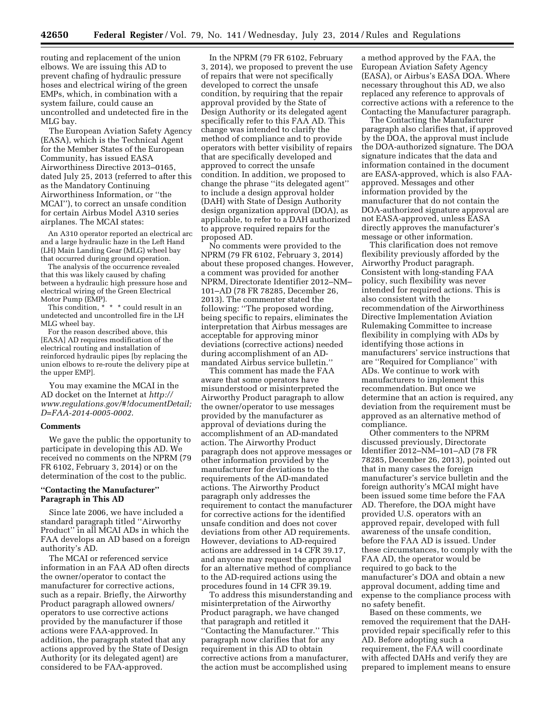routing and replacement of the union elbows. We are issuing this AD to prevent chafing of hydraulic pressure hoses and electrical wiring of the green EMPs, which, in combination with a system failure, could cause an uncontrolled and undetected fire in the MLG bay.

The European Aviation Safety Agency (EASA), which is the Technical Agent for the Member States of the European Community, has issued EASA Airworthiness Directive 2013–0165, dated July 25, 2013 (referred to after this as the Mandatory Continuing Airworthiness Information, or ''the MCAI''), to correct an unsafe condition for certain Airbus Model A310 series airplanes. The MCAI states:

An A310 operator reported an electrical arc and a large hydraulic haze in the Left Hand (LH) Main Landing Gear (MLG) wheel bay that occurred during ground operation.

The analysis of the occurrence revealed that this was likely caused by chafing between a hydraulic high pressure hose and electrical wiring of the Green Electrical Motor Pump (EMP).

This condition, \* \* \* could result in an undetected and uncontrolled fire in the LH MLG wheel bay.

For the reason described above, this [EASA] AD requires modification of the electrical routing and installation of reinforced hydraulic pipes [by replacing the union elbows to re-route the delivery pipe at the upper EMP].

You may examine the MCAI in the AD docket on the Internet at *[http://](http://www.regulations.gov/#!documentDetail) [www.regulations.gov/#!documentDetail;](http://www.regulations.gov/#!documentDetail) D=FAA-2014-0005-0002*.

### **Comments**

We gave the public the opportunity to participate in developing this AD. We received no comments on the NPRM (79 FR 6102, February 3, 2014) or on the determination of the cost to the public.

### **''Contacting the Manufacturer'' Paragraph in This AD**

Since late 2006, we have included a standard paragraph titled ''Airworthy Product'' in all MCAI ADs in which the FAA develops an AD based on a foreign authority's AD.

The MCAI or referenced service information in an FAA AD often directs the owner/operator to contact the manufacturer for corrective actions, such as a repair. Briefly, the Airworthy Product paragraph allowed owners/ operators to use corrective actions provided by the manufacturer if those actions were FAA-approved. In addition, the paragraph stated that any actions approved by the State of Design Authority (or its delegated agent) are considered to be FAA-approved.

In the NPRM (79 FR 6102, February 3, 2014), we proposed to prevent the use of repairs that were not specifically developed to correct the unsafe condition, by requiring that the repair approval provided by the State of Design Authority or its delegated agent specifically refer to this FAA AD. This change was intended to clarify the method of compliance and to provide operators with better visibility of repairs that are specifically developed and approved to correct the unsafe condition. In addition, we proposed to change the phrase ''its delegated agent'' to include a design approval holder (DAH) with State of Design Authority design organization approval (DOA), as applicable, to refer to a DAH authorized to approve required repairs for the proposed AD.

No comments were provided to the NPRM (79 FR 6102, February 3, 2014) about these proposed changes. However, a comment was provided for another NPRM, Directorate Identifier 2012–NM– 101–AD (78 FR 78285, December 26, 2013). The commenter stated the following: ''The proposed wording, being specific to repairs, eliminates the interpretation that Airbus messages are acceptable for approving minor deviations (corrective actions) needed during accomplishment of an ADmandated Airbus service bulletin.''

This comment has made the FAA aware that some operators have misunderstood or misinterpreted the Airworthy Product paragraph to allow the owner/operator to use messages provided by the manufacturer as approval of deviations during the accomplishment of an AD-mandated action. The Airworthy Product paragraph does not approve messages or other information provided by the manufacturer for deviations to the requirements of the AD-mandated actions. The Airworthy Product paragraph only addresses the requirement to contact the manufacturer for corrective actions for the identified unsafe condition and does not cover deviations from other AD requirements. However, deviations to AD-required actions are addressed in 14 CFR 39.17, and anyone may request the approval for an alternative method of compliance to the AD-required actions using the procedures found in 14 CFR 39.19.

To address this misunderstanding and misinterpretation of the Airworthy Product paragraph, we have changed that paragraph and retitled it ''Contacting the Manufacturer.'' This paragraph now clarifies that for any requirement in this AD to obtain corrective actions from a manufacturer, the action must be accomplished using

a method approved by the FAA, the European Aviation Safety Agency (EASA), or Airbus's EASA DOA. Where necessary throughout this AD, we also replaced any reference to approvals of corrective actions with a reference to the Contacting the Manufacturer paragraph.

The Contacting the Manufacturer paragraph also clarifies that, if approved by the DOA, the approval must include the DOA-authorized signature. The DOA signature indicates that the data and information contained in the document are EASA-approved, which is also FAAapproved. Messages and other information provided by the manufacturer that do not contain the DOA-authorized signature approval are not EASA-approved, unless EASA directly approves the manufacturer's message or other information.

This clarification does not remove flexibility previously afforded by the Airworthy Product paragraph. Consistent with long-standing FAA policy, such flexibility was never intended for required actions. This is also consistent with the recommendation of the Airworthiness Directive Implementation Aviation Rulemaking Committee to increase flexibility in complying with ADs by identifying those actions in manufacturers' service instructions that are ''Required for Compliance'' with ADs. We continue to work with manufacturers to implement this recommendation. But once we determine that an action is required, any deviation from the requirement must be approved as an alternative method of compliance.

Other commenters to the NPRM discussed previously, Directorate Identifier 2012–NM–101–AD (78 FR 78285, December 26, 2013), pointed out that in many cases the foreign manufacturer's service bulletin and the foreign authority's MCAI might have been issued some time before the FAA AD. Therefore, the DOA might have provided U.S. operators with an approved repair, developed with full awareness of the unsafe condition, before the FAA AD is issued. Under these circumstances, to comply with the FAA AD, the operator would be required to go back to the manufacturer's DOA and obtain a new approval document, adding time and expense to the compliance process with no safety benefit.

Based on these comments, we removed the requirement that the DAHprovided repair specifically refer to this AD. Before adopting such a requirement, the FAA will coordinate with affected DAHs and verify they are prepared to implement means to ensure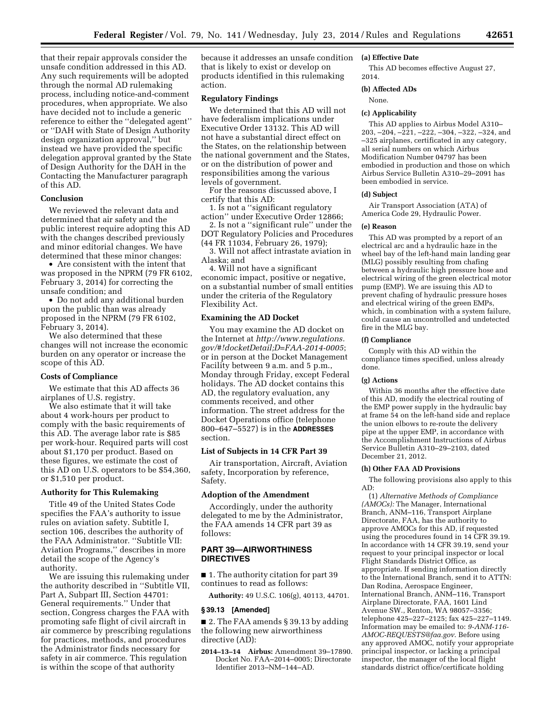that their repair approvals consider the unsafe condition addressed in this AD. Any such requirements will be adopted through the normal AD rulemaking process, including notice-and-comment procedures, when appropriate. We also have decided not to include a generic reference to either the ''delegated agent'' or ''DAH with State of Design Authority design organization approval,'' but instead we have provided the specific delegation approval granted by the State of Design Authority for the DAH in the Contacting the Manufacturer paragraph of this AD.

### **Conclusion**

We reviewed the relevant data and determined that air safety and the public interest require adopting this AD with the changes described previously and minor editorial changes. We have determined that these minor changes:

• Are consistent with the intent that was proposed in the NPRM (79 FR 6102, February 3, 2014) for correcting the unsafe condition; and

• Do not add any additional burden upon the public than was already proposed in the NPRM (79 FR 6102, February 3, 2014).

We also determined that these changes will not increase the economic burden on any operator or increase the scope of this AD.

#### **Costs of Compliance**

We estimate that this AD affects 36 airplanes of U.S. registry.

We also estimate that it will take about 4 work-hours per product to comply with the basic requirements of this AD. The average labor rate is \$85 per work-hour. Required parts will cost about \$1,170 per product. Based on these figures, we estimate the cost of this AD on U.S. operators to be \$54,360, or \$1,510 per product.

### **Authority for This Rulemaking**

Title 49 of the United States Code specifies the FAA's authority to issue rules on aviation safety. Subtitle I, section 106, describes the authority of the FAA Administrator. ''Subtitle VII: Aviation Programs,'' describes in more detail the scope of the Agency's authority.

We are issuing this rulemaking under the authority described in ''Subtitle VII, Part A, Subpart III, Section 44701: General requirements.'' Under that section, Congress charges the FAA with promoting safe flight of civil aircraft in air commerce by prescribing regulations for practices, methods, and procedures the Administrator finds necessary for safety in air commerce. This regulation is within the scope of that authority

because it addresses an unsafe condition that is likely to exist or develop on products identified in this rulemaking action.

### **Regulatory Findings**

We determined that this AD will not have federalism implications under Executive Order 13132. This AD will not have a substantial direct effect on the States, on the relationship between the national government and the States, or on the distribution of power and responsibilities among the various levels of government.

For the reasons discussed above, I certify that this AD:

1. Is not a ''significant regulatory action'' under Executive Order 12866;

2. Is not a ''significant rule'' under the DOT Regulatory Policies and Procedures (44 FR 11034, February 26, 1979);

3. Will not affect intrastate aviation in Alaska; and

4. Will not have a significant economic impact, positive or negative, on a substantial number of small entities under the criteria of the Regulatory Flexibility Act.

#### **Examining the AD Docket**

You may examine the AD docket on the Internet at *[http://www.regulations.](http://www.regulations.gov/#!docketDetail;D=FAA-2014-0005) [gov/#!docketDetail;D=FAA-2014-0005](http://www.regulations.gov/#!docketDetail;D=FAA-2014-0005)*; or in person at the Docket Management Facility between 9 a.m. and 5 p.m., Monday through Friday, except Federal holidays. The AD docket contains this AD, the regulatory evaluation, any comments received, and other information. The street address for the Docket Operations office (telephone 800–647–5527) is in the **ADDRESSES** section.

# **List of Subjects in 14 CFR Part 39**

Air transportation, Aircraft, Aviation safety, Incorporation by reference, Safety.

#### **Adoption of the Amendment**

Accordingly, under the authority delegated to me by the Administrator, the FAA amends 14 CFR part 39 as follows:

### **PART 39—AIRWORTHINESS DIRECTIVES**

■ 1. The authority citation for part 39 continues to read as follows:

**Authority:** 49 U.S.C. 106(g), 40113, 44701.

#### **§ 39.13 [Amended]**

■ 2. The FAA amends § 39.13 by adding the following new airworthiness directive (AD):

**2014–13–14 Airbus:** Amendment 39–17890. Docket No. FAA–2014–0005; Directorate Identifier 2013–NM–144–AD.

### **(a) Effective Date**

This AD becomes effective August 27, 2014.

### **(b) Affected ADs**

None.

# **(c) Applicability**

This AD applies to Airbus Model A310–  $203, -204, -221, -222, -304, -322, -324,$  and –325 airplanes, certificated in any category, all serial numbers on which Airbus Modification Number 04797 has been embodied in production and those on which Airbus Service Bulletin A310–29–2091 has been embodied in service.

#### **(d) Subject**

Air Transport Association (ATA) of America Code 29, Hydraulic Power.

#### **(e) Reason**

This AD was prompted by a report of an electrical arc and a hydraulic haze in the wheel bay of the left-hand main landing gear (MLG) possibly resulting from chafing between a hydraulic high pressure hose and electrical wiring of the green electrical motor pump (EMP). We are issuing this AD to prevent chafing of hydraulic pressure hoses and electrical wiring of the green EMPs, which, in combination with a system failure, could cause an uncontrolled and undetected fire in the MLG bay.

#### **(f) Compliance**

Comply with this AD within the compliance times specified, unless already done.

### **(g) Actions**

Within 36 months after the effective date of this AD, modify the electrical routing of the EMP power supply in the hydraulic bay at frame 54 on the left-hand side and replace the union elbows to re-route the delivery pipe at the upper EMP, in accordance with the Accomplishment Instructions of Airbus Service Bulletin A310–29–2103, dated December 21, 2012.

#### **(h) Other FAA AD Provisions**

The following provisions also apply to this AD:

(1) *Alternative Methods of Compliance (AMOCs):* The Manager, International Branch, ANM–116, Transport Airplane Directorate, FAA, has the authority to approve AMOCs for this AD, if requested using the procedures found in 14 CFR 39.19. In accordance with 14 CFR 39.19, send your request to your principal inspector or local Flight Standards District Office, as appropriate. If sending information directly to the International Branch, send it to ATTN: Dan Rodina, Aerospace Engineer, International Branch, ANM–116, Transport Airplane Directorate, FAA, 1601 Lind Avenue SW., Renton, WA 98057–3356; telephone 425–227–2125; fax 425–227–1149. Information may be emailed to: *[9-ANM-116-](mailto:9-ANM-116-AMOC-REQUESTS@faa.gov) [AMOC-REQUESTS@faa.gov](mailto:9-ANM-116-AMOC-REQUESTS@faa.gov)*. Before using any approved AMOC, notify your appropriate principal inspector, or lacking a principal inspector, the manager of the local flight standards district office/certificate holding